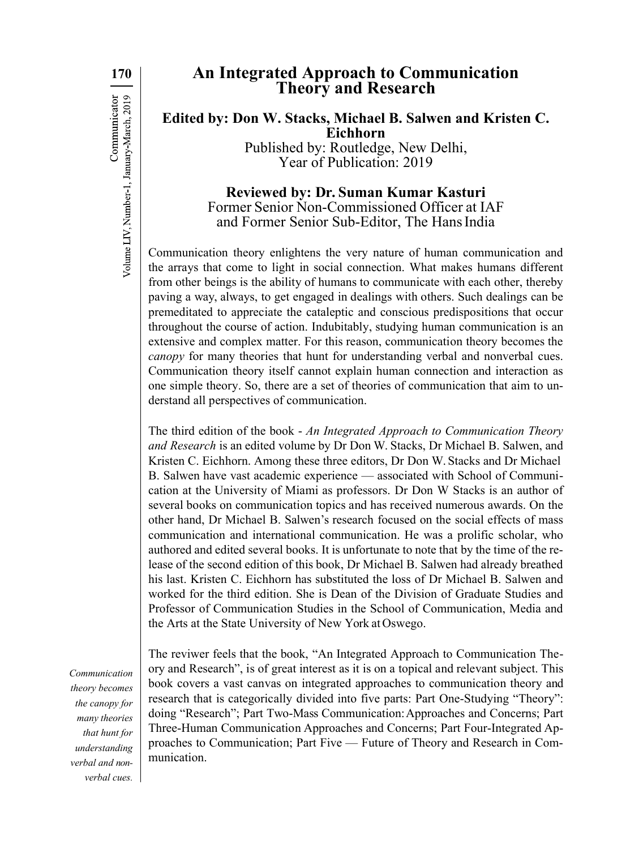**170** Communicator Volume LIV, Number-1, January-March, 2019

## **An Integrated Approach to Communication Theory and Research**

**Edited by: Don W. Stacks, Michael B. Salwen and Kristen C. Eichhorn**

Published by: Routledge, New Delhi, Year of Publication: 2019

## **Reviewed by: Dr. Suman Kumar Kasturi**  Former Senior Non-Commissioned Officer at IAF and Former Senior Sub-Editor, The Hans India

Communication theory enlightens the very nature of human communication and the arrays that come to light in social connection. What makes humans different from other beings is the ability of humans to communicate with each other, thereby paving a way, always, to get engaged in dealings with others. Such dealings can be premeditated to appreciate the cataleptic and conscious predispositions that occur throughout the course of action. Indubitably, studying human communication is an extensive and complex matter. For this reason, communication theory becomes the *canopy* for many theories that hunt for understanding verbal and nonverbal cues. Communication theory itself cannot explain human connection and interaction as one simple theory. So, there are a set of theories of communication that aim to understand all perspectives of communication.

The third edition of the book - *An Integrated Approach to Communication Theory and Research* is an edited volume by Dr Don W. Stacks, Dr Michael B. Salwen, and Kristen C. Eichhorn. Among these three editors, Dr Don W. Stacks and Dr Michael B. Salwen have vast academic experience — associated with School of Communication at the University of Miami as professors. Dr Don W Stacks is an author of several books on communication topics and has received numerous awards. On the other hand, Dr Michael B. Salwen's research focused on the social effects of mass communication and international communication. He was a prolific scholar, who authored and edited several books. It is unfortunate to note that by the time of the release of the second edition of this book, Dr Michael B. Salwen had already breathed his last. Kristen C. Eichhorn has substituted the loss of Dr Michael B. Salwen and worked for the third edition. She is Dean of the Division of Graduate Studies and Professor of Communication Studies in the School of Communication, Media and the Arts at the State University of New York at Oswego.

*Communication theory becomes the canopy for many theories that hunt for understanding verbal and nonverbal cues.*

The reviwer feels that the book, "An Integrated Approach to Communication Theory and Research", is of great interest as it is on a topical and relevant subject. This book covers a vast canvas on integrated approaches to communication theory and research that is categorically divided into five parts: Part One-Studying "Theory": doing "Research"; Part Two-Mass Communication:Approaches and Concerns; Part Three-Human Communication Approaches and Concerns; Part Four-Integrated Approaches to Communication; Part Five — Future of Theory and Research in Communication.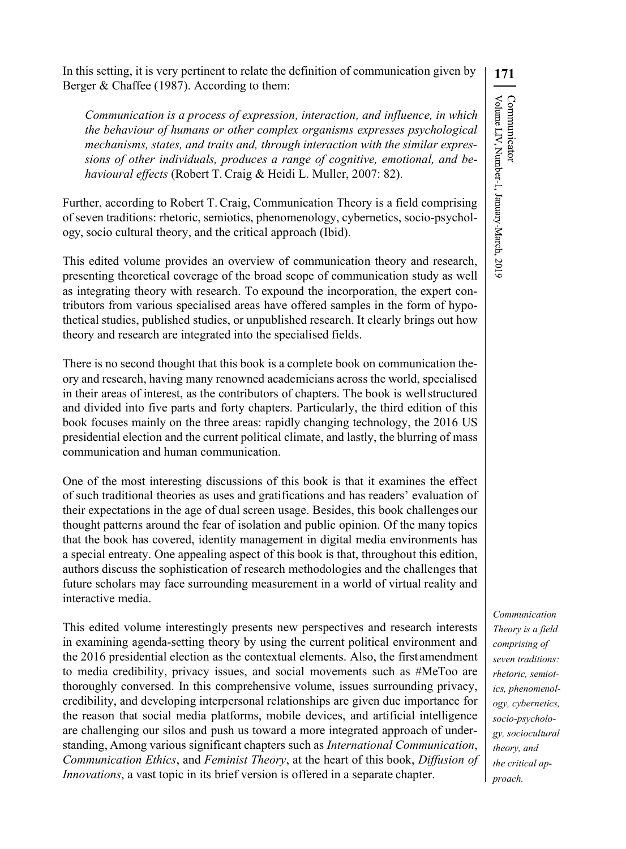**171** Communicator<br>Volume LIV, Number-1, January-March, 2019

In this setting, it is very pertinent to relate the definition of communication given by Berger & Chaffee (1987). According to them:

*Communication is a process of expression, interaction, and influence, in which the behaviour of humans or other complex organisms expresses psychological mechanisms, states, and traits and, through interaction with the similar expressions of other individuals, produces a range of cognitive, emotional, and behavioural effects* (Robert T. Craig & Heidi L. Muller, 2007: 82).

Further, according to Robert T. Craig, Communication Theory is a field comprising of seven traditions: rhetoric, semiotics, phenomenology, cybernetics, socio-psychology, socio cultural theory, and the critical approach (Ibid).

This edited volume provides an overview of communication theory and research, presenting theoretical coverage of the broad scope of communication study as well as integrating theory with research. To expound the incorporation, the expert contributors from various specialised areas have offered samples in the form of hypothetical studies, published studies, or unpublished research. It clearly brings out how theory and research are integrated into the specialised fields.

There is no second thought that this book is a complete book on communication theory and research, having many renowned academicians across the world, specialised in their areas of interest, as the contributors of chapters. The book is wellstructured and divided into five parts and forty chapters. Particularly, the third edition of this book focuses mainly on the three areas: rapidly changing technology, the 2016 US presidential election and the current political climate, and lastly, the blurring of mass communication and human communication.

One of the most interesting discussions of this book is that it examines the effect of such traditional theories as uses and gratifications and has readers' evaluation of their expectations in the age of dual screen usage. Besides, this book challenges our thought patterns around the fear of isolation and public opinion. Of the many topics that the book has covered, identity management in digital media environments has a special entreaty. One appealing aspect of this book is that, throughout this edition, authors discuss the sophistication of research methodologies and the challenges that future scholars may face surrounding measurement in a world of virtual reality and interactive media.

This edited volume interestingly presents new perspectives and research interests in examining agenda-setting theory by using the current political environment and the 2016 presidential election as the contextual elements. Also, the firstamendment to media credibility, privacy issues, and social movements such as #MeToo are thoroughly conversed. In this comprehensive volume, issues surrounding privacy, credibility, and developing interpersonal relationships are given due importance for the reason that social media platforms, mobile devices, and artificial intelligence are challenging our silos and push us toward a more integrated approach of understanding, Among various significant chapters such as *International Communication*, *Communication Ethics*, and *Feminist Theory*, at the heart of this book, *Diffusion of Innovations*, a vast topic in its brief version is offered in a separate chapter.

*Communication Theory is a field comprising of seven traditions: rhetoric, semiotics, phenomenology, cybernetics, socio-psychology, sociocultural theory, and the critical approach.*